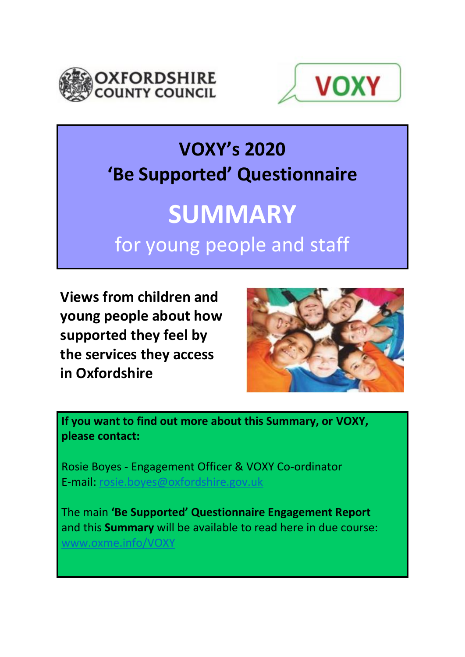



## **VOXY's 2020 'Be Supported' Questionnaire**

# **SUMMARY** for young people and staff

**Views from children and young people about how supported they feel by the services they access in Oxfordshire**



**If you want to find out more about this Summary, or VOXY, please contact:**

Rosie Boyes - Engagement Officer & VOXY Co-ordinator E-mail: [rosie.boyes@oxfordshire.gov.uk](mailto:rosie.boyes@oxfordshire.gov.uk)

The main **'Be Supported' Questionnaire Engagement Report** and this **Summary** will be available to read here in due course: [www.oxme.info/VOXY](http://www.oxme.info/VOXY)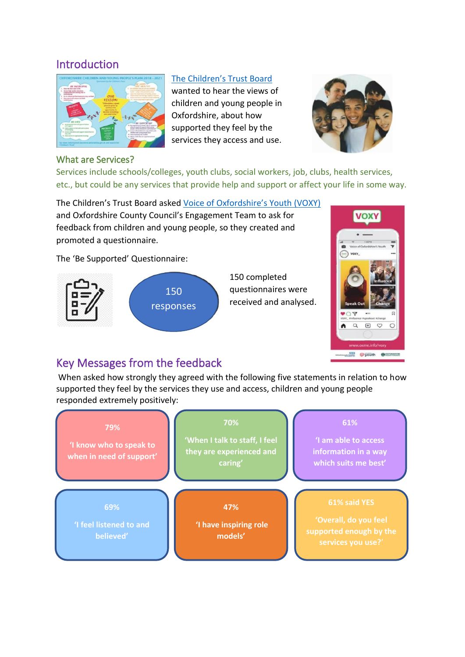## **Introduction**



#### [The Children's Trust Board](https://www.oxfordshire.gov.uk/residents/social-and-health-care/health-and-wellbeing-board/childrens-trust)

wanted to hear the views of children and young people in Oxfordshire, about how supported they feel by the services they access and use.



#### What are Services?

Services include schools/colleges, youth clubs, social workers, job, clubs, health services, etc., but could be any services that provide help and support or affect your life in some way.

The Children's Trust Board asked [Voice of Oxfordshire's Youth \(VOXY\)](https://oxme.info/cms/life/voxy-voice-oxfordshires-youth) and Oxfordshire County Council's Engagement Team to ask for feedback from children and young people, so they created and promoted a questionnaire.

The 'Be Supported' Questionnaire:





## Key Messages from the feedback

When asked how strongly they agreed with the following five statements in relation to how supported they feel by the services they use and access, children and young people responded extremely positively:

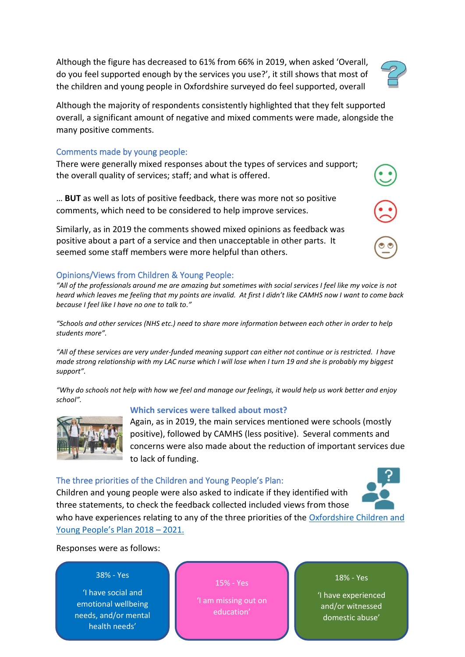Although the figure has decreased to 61% from 66% in 2019, when asked 'Overall, do you feel supported enough by the services you use?', it still shows that most of the children and young people in Oxfordshire surveyed do feel supported, overall

Although the majority of respondents consistently highlighted that they felt supported overall, a significant amount of negative and mixed comments were made, alongside the many positive comments.

#### Comments made by young people:

There were generally mixed responses about the types of services and support; the overall quality of services; staff; and what is offered.

… **BUT** as well as lots of positive feedback, there was more not so positive comments, which need to be considered to help improve services.

Similarly, as in 2019 the comments showed mixed opinions as feedback was positive about a part of a service and then unacceptable in other parts. It seemed some staff members were more helpful than others.

## Opinions/Views from Children & Young People:

*"All of the professionals around me are amazing but sometimes with social services I feel like my voice is not heard which leaves me feeling that my points are invalid. At first I didn't like CAMHS now I want to come back because I feel like I have no one to talk to."*

*"Schools and other services (NHS etc.) need to share more information between each other in order to help students more".*

*"All of these services are very under-funded meaning support can either not continue or is restricted. I have made strong relationship with my LAC nurse which I will lose when I turn 19 and she is probably my biggest support".*

*"Why do schools not help with how we feel and manage our feelings, it would help us work better and enjoy school".*

## **Which services were talked about most?**

Again, as in 2019, the main services mentioned were schools (mostly positive), followed by CAMHS (less positive). Several comments and concerns were also made about the reduction of important services due to lack of funding.

## The three priorities of the Children and Young People's Plan:

Children and young people were also asked to indicate if they identified with three statements, to check the feedback collected included views from those who have experiences relating to any of the three priorities of the Oxfordshire Children and

[Young People's Plan 2018 –](https://www.oxfordshire.gov.uk/residents/children-education-and-families/childrens-services/delivering-services-children/children-young-peoples-plan) 2021.

Responses were as follows:

## 38% - Yes

'I have social and emotional wellbeing needs, and/or mental health needs'

## 15% - Yes

'I am missing out on education'

18% - Yes

'I have experienced and/or witnessed domestic abuse'